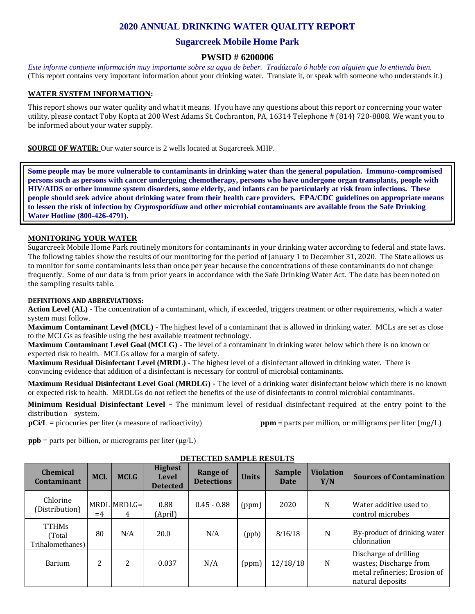# **2020 ANNUAL DRINKING WATER QUALITY REPORT**

## **Sugarcreek Mobile Home Park**

## **PWSID # 6200006**

*Este informe contiene información muy importante sobre su agua de beber. Tradúzcalo ó hable con alguien que lo entienda bien.*  (This report contains very important information about your drinking water. Translate it, or speak with someone who understands it.)

### **WATER SYSTEM INFORMATION:**

This report shows our water quality and what it means. If you have any questions about this report or concerning your water utility, please contact Toby Kopta at 200 West Adams St. Cochranton, PA, 16314 Telephone # (814) 720-8808. We want you to be informed about your water supply.

**SOURCE OF WATER:** Our water source is 2 wells located at Sugarcreek MHP.

**Some people may be more vulnerable to contaminants in drinking water than the general population. Immuno-compromised persons such as persons with cancer undergoing chemotherapy, persons who have undergone organ transplants, people with HIV/AIDS or other immune system disorders, some elderly, and infants can be particularly at risk from infections. These people should seek advice about drinking water from their health care providers. EPA/CDC guidelines on appropriate means to lessen the risk of infection by** *Cryptosporidium* **and other microbial contaminants are available from the Safe Drinking Water Hotline (800-426-4791).**

#### **MONITORING YOUR WATER**

Sugarcreek Mobile Home Park routinely monitors for contaminants in your drinking water according to federal and state laws. The following tables show the results of our monitoring for the period of January 1 to December 31, 2020. The State allows us to monitor for some contaminants less than once per year because the concentrations of these contaminants do not change frequently. Some of our data is from prior years in accordance with the Safe Drinking Water Act. The date has been noted on the sampling results table.

#### **DEFINITIONS AND ABBREVIATIONS:**

**Action Level (AL) -** The concentration of a contaminant, which, if exceeded, triggers treatment or other requirements, which a water system must follow.

**Maximum Contaminant Level (MCL) -** The highest level of a contaminant that is allowed in drinking water. MCLs are set as close to the MCLGs as feasible using the best available treatment technology.

**Maximum Contaminant Level Goal (MCLG) -** The level of a contaminant in drinking water below which there is no known or expected risk to health. MCLGs allow for a margin of safety.

**Maximum Residual Disinfectant Level (MRDL) -** The highest level of a disinfectant allowed in drinking water. There is convincing evidence that addition of a disinfectant is necessary for control of microbial contaminants.

**Maximum Residual Disinfectant Level Goal (MRDLG) -** The level of a drinking water disinfectant below which there is no known or expected risk to health. MRDLGs do not reflect the benefits of the use of disinfectants to control microbial contaminants.

**Minimum Residual Disinfectant Level –** The minimum level of residual disinfectant required at the entry point to the distribution system.

**pCi/L** = picocuries per liter (a measure of radioactivity) **ppm** = parts per million, or milligrams per liter (mg/L)

**ppb** = parts per billion, or micrograms per liter  $(\mu g/L)$ 

| <b>Chemical</b><br>Contaminant             | <b>MCL</b> | <b>MCLG</b>      | <b>Highest</b><br><b>Level</b><br><b>Detected</b> | Range of<br><b>Detections</b> | <b>Units</b> | <b>Sample</b><br><b>Date</b> | <b>Violation</b><br>Y/N | <b>Sources of Contamination</b>                                                                     |
|--------------------------------------------|------------|------------------|---------------------------------------------------|-------------------------------|--------------|------------------------------|-------------------------|-----------------------------------------------------------------------------------------------------|
| Chlorine<br>(Distribution)                 | $=4$       | MRDL MRDLG=<br>4 | 0.88<br>(April)                                   | $0.45 - 0.88$                 | (ppm)        | 2020                         | N                       | Water additive used to<br>control microbes                                                          |
| <b>TTHMs</b><br>(Total<br>Trihalomethanes) | 80         | N/A              | 20.0                                              | N/A                           | (ppb)        | 8/16/18                      | N                       | By-product of drinking water<br>chlorination                                                        |
| Barium                                     | 2          | 2                | 0.037                                             | N/A                           | (ppm)        | 12/18/18                     | N                       | Discharge of drilling<br>wastes; Discharge from<br>metal refineries; Erosion of<br>natural deposits |

#### **DETECTED SAMPLE RESULTS**